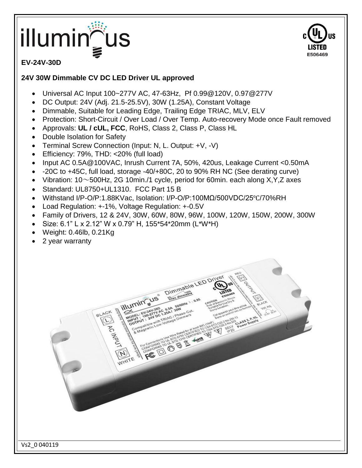## illuminৣ



### **EV-24V-30D**

#### **24V 30W Dimmable CV DC LED Driver UL approved**

- Universal AC Input 100~277V AC, 47-63Hz, Pf 0.99@120V, 0.97@277V
- DC Output: 24V (Adj. 21.5-25.5V), 30W (1.25A), Constant Voltage
- Dimmable, Suitable for Leading Edge, Trailing Edge TRIAC, MLV, ELV
- Protection: Short-Circuit / Over Load / Over Temp. Auto-recovery Mode once Fault removed
- Approvals: **UL / cUL, FCC**, RoHS, Class 2, Class P, Class HL
- Double Isolation for Safety
- Terminal Screw Connection (Input: N, L. Output: +V, -V)
- Efficiency: 79%, THD: <20% (full load)
- Input AC 0.5A@100VAC, Inrush Current 7A, 50%, 420us, Leakage Current <0.50mA
- -20C to +45C, full load, storage -40/+80C, 20 to 90% RH NC (See derating curve)
- Vibration: 10 $\sim$ 500Hz, 2G 10min./1 cycle, period for 60min. each along X,Y,Z axes
- Standard: UL8750+UL1310. FCC Part 15 B
- Withstand I/P-O/P:1.88KVac, Isolation: I/P-O/P:100MΩ/500VDC/25℃/70%RH
- Load Regulation: +-1%, Voltage Regulation: +-0.5V
- Family of Drivers, 12 & 24V, 30W, 60W, 80W, 96W, 100W, 120W, 150W, 200W, 300W

FOR EL COMPOSITOR PROGRAMMENT

Dimmable LED Dr

Size: 6.1" L x 2.12" W x 0.79" H, 155\*54\*20mm (L\*W\*H)

illumin us

- Weight: 0.46lb, 0.21Kg
- 2 year warranty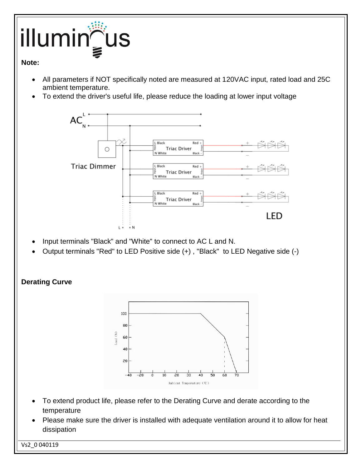# illumin aus

#### **Note:**

- All parameters if NOT specifically noted are measured at 120VAC input, rated load and 25C ambient temperature.
- To extend the driver's useful life, please reduce the loading at lower input voltage



- Input terminals "Black" and "White" to connect to AC L and N.
- Output terminals "Red" to LED Positive side (+) , "Black" to LED Negative side (-)

**Derating Curve**



- To extend product life, please refer to the Derating Curve and derate according to the temperature
- Please make sure the driver is installed with adequate ventilation around it to allow for heat dissipation